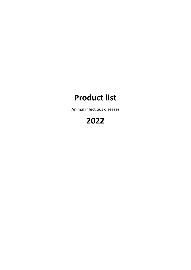# **Product list**

Animal infectious diseases

# **2022**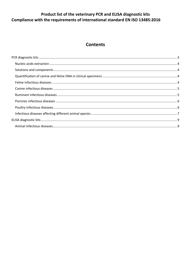#### Product list of the veterinary PCR and ELISA diagnostic kits Compliance with the requirements of international standard EN ISO 13485:2016

#### **Contents**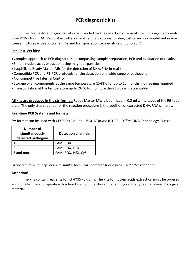#### **PCR diagnostic kits**

<span id="page-2-0"></span>The RealBest-Vet diagnostic kits are intended for the detection of animal infectious agents by realtime PCR/RT-PCR. AO Vector-Best offers user-friendly solutions for diagnostics such as lyophilized readyto-use mixtures with a long shelf life and transportation temperature of up to 26 °С.

#### **RealBest-Vet kits***:*

- Complex approach to PCR diagnostics encompassing sample preparation, PCR and evaluation of results
- Simple nucleic acids extraction using magnetic particles
- Lyophilized Ready Master Mix for the detection of DNA/RNA in real-time
- Compatible PCR and RT-PCR protocols for the detection of a wide range of pathogens
- Noncompetitive Internal Control
- Storage of all components at the same temperature (2–8)°С for up to 12 months; no freezing required
- Transportation at the temperature up to 26 °С for no more than 10 days is acceptable

**All kits are produced in the str-format:** Ready Master Mix is lyophilized in 0.2 ml white tubes of the 96-tube plate. The only step required for the reaction procedure is the addition of extracted DNA/RNA samples.

#### **Real-time PCR Systems and formats***:*

**Str** format can be used with CFX96™ (Bio-Rad, USA), DT*prime* (DT-96), DT*lite* (DNA-Technology, Russia).

| <b>Number of</b><br>simultaneously<br>detected pathogens | <b>Detection channels</b> |
|----------------------------------------------------------|---------------------------|
|                                                          | FAM, ROX                  |
|                                                          | FAM, ROX, HEX             |
| 3 and more                                               | FAM, ROX, HEX, Cy5        |

*Other real-time PCR cyclers with similar technical characteristics can be used after validation.*

#### **Attention!**

The kits contain reagents for RT-PCR/PCR only. The kits for nucleic acids extraction must be ordered additionally. The appropriate extraction kit should be chosen depending on the type of analyzed biological material.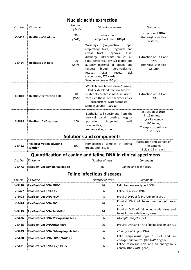### **Nucleic acids extraction**

<span id="page-3-3"></span><span id="page-3-2"></span><span id="page-3-1"></span><span id="page-3-0"></span>

| Cat. No. | Kit name                                                             | Number<br>of tests | Clinical specimens                                                                                                                                                                                                                                                                                    |                                                                            | Comments                                                                                                         |
|----------|----------------------------------------------------------------------|--------------------|-------------------------------------------------------------------------------------------------------------------------------------------------------------------------------------------------------------------------------------------------------------------------------------------------------|----------------------------------------------------------------------------|------------------------------------------------------------------------------------------------------------------|
| $V-5453$ | <b>RealBest-Vet Alpha</b>                                            | 96<br>(2x48)       | Whole blood<br>Sample volume - 100 µl                                                                                                                                                                                                                                                                 |                                                                            | <b>Extraction of DNA</b><br>(for KingFisher Flex<br>systems)                                                     |
| $V-5454$ | <b>RealBest-Vet Beta</b>                                             | 96<br>(2x48)       | Washings<br>(conjunctiva,<br>respiratory tract, urogenital and<br>rectal<br>tracts);<br>discharge (infraorbital sinuses, air<br>sacs, pericardial cavity); biopsy and<br>autopsy material of organs and<br>blood<br>tissues;<br>fetuses,<br>eggs,<br>suspensions, FTA cards<br>Sample volume - 100 µl | upper<br>fluid;<br>synovial<br>serum/plasma;<br>feces,<br>tick             | Extraction of <b>DNA</b> and<br><b>RNA</b><br>(for KingFisher Flex<br>system)                                    |
| C-8840   | <b>RealBest extraction 100</b>                                       | 48<br>(8x6)        | Whole blood, blood serum/plasma,<br>leukocyte blood fraction, biopsy<br>material, cerebrospinal fluid, urine,<br>feces, epithelial cell specimens, tick<br>suspensions, water samples<br>Sample volume - 100 µl                                                                                       |                                                                            | Extraction of DNA and<br><b>RNA</b>                                                                              |
| C-8899   | <b>RealBest DNA-express</b>                                          | 100                | Epithelial cell specimens from the<br>cervical canal, urethra, vagina,<br>posterior<br>laryngeal<br>conjunctiva;<br>semen, saliva, urine                                                                                                                                                              | wall,                                                                      | <b>Extraction of DNA</b><br>in 15 minutes.<br>Lysis Reagent -<br>100 tubes,<br>Transport solution -<br>100 tubes |
|          |                                                                      |                    | Solutions and components                                                                                                                                                                                                                                                                              |                                                                            |                                                                                                                  |
| $V-5452$ | <b>RealBest-Vet Inactivating</b><br>solution                         | 100                | Homogenized samples of animal<br>organs and tissues                                                                                                                                                                                                                                                   |                                                                            | Inactivation and storage of<br>the samples<br>2 vials, 15 ml each                                                |
|          | <b>Quantification of canine and feline DNA in clinical specimens</b> |                    |                                                                                                                                                                                                                                                                                                       |                                                                            |                                                                                                                  |
| Cat. No. | <b>Kit Name</b>                                                      |                    | Number of tests                                                                                                                                                                                                                                                                                       |                                                                            | Comments                                                                                                         |
| $V-5473$ | <b>RealBest-Vet Sample Validation</b>                                |                    | 48                                                                                                                                                                                                                                                                                                    |                                                                            | Canine and feline DNA                                                                                            |
|          |                                                                      |                    | <b>Feline infectious diseases</b>                                                                                                                                                                                                                                                                     |                                                                            |                                                                                                                  |
| Cat. No. | <b>Kit Name</b>                                                      |                    | Number of tests                                                                                                                                                                                                                                                                                       |                                                                            | Comments                                                                                                         |
| $V-5420$ | <b>RealBest-Vet DNA FHV-1</b>                                        |                    | 96                                                                                                                                                                                                                                                                                                    |                                                                            | Felid herpesvirus type 1 DNA                                                                                     |
| $V-5422$ | <b>RealBest-Vet RNA FCV</b>                                          |                    | 96                                                                                                                                                                                                                                                                                                    | Feline calicivirus RNA                                                     |                                                                                                                  |
| $V-5423$ | <b>RealBest-Vet DNA FeLV</b>                                         |                    | 48                                                                                                                                                                                                                                                                                                    |                                                                            | Proviral DNA of feline leukemia virus                                                                            |
| $V-5424$ | <b>RealBest-Vet DNA FIV</b>                                          |                    | 96                                                                                                                                                                                                                                                                                                    | Proviral DNA of feline immunodeficiency<br>virus                           |                                                                                                                  |
| $V-5425$ | <b>RealBest-Vet DNA FeLV/FIV</b>                                     |                    | 96                                                                                                                                                                                                                                                                                                    | Proviral DNA of feline leukemia virus and<br>feline immunodeficiency virus |                                                                                                                  |
| $V-5426$ | RealBest-Vet DNA Mycoplasma felis                                    |                    | 96                                                                                                                                                                                                                                                                                                    | Mycoplasma felis DNA                                                       |                                                                                                                  |
| $V-5428$ | <b>RealBest-Vet DNA/RNA FeLV</b>                                     |                    | 96                                                                                                                                                                                                                                                                                                    |                                                                            | Proviral DNA and RNA of feline leukemia virus                                                                    |
| $V-5429$ | RealBest-Vet DNA Chlamydophila felis                                 |                    | 96                                                                                                                                                                                                                                                                                                    | Chlamydophila felis DNA                                                    |                                                                                                                  |
| $V-5430$ | <b>RealBest-Vet DNA FHV-1/GAPDH</b>                                  |                    | 96                                                                                                                                                                                                                                                                                                    |                                                                            | Felid herpesvirus type 1 DNA and an<br>endogenous control (the GAPDH gene)                                       |
| $V-5431$ | <b>RealBest-Vet RNA FCV/HMBS</b>                                     |                    | 96                                                                                                                                                                                                                                                                                                    | control (the HMBS gene)                                                    | Feline calicivirus RNA and an endogenous                                                                         |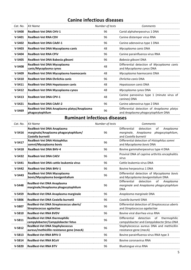## **Canine infectious diseases**

<span id="page-4-0"></span>

| Cat. No. | Kit Name                                                       | Number of tests | Comments                                                                        |
|----------|----------------------------------------------------------------|-----------------|---------------------------------------------------------------------------------|
| $V-5400$ | <b>RealBest-Vet DNA CHV-1</b>                                  | 96              | Canid alphaherpesvirus 1 DNA                                                    |
| $V-5401$ | <b>RealBest-Vet RNA CDV</b>                                    | 96              | Canine distemper virus RNA                                                      |
| $V-5402$ | <b>RealBest-Vet DNA CAdV-1</b>                                 | 96              | Canine adenovirus type 1 DNA                                                    |
| $V-5403$ | RealBest-Vet DNA Mycoplasma canis                              | 48              | Mycoplasma canis DNA                                                            |
| $V-5404$ | <b>RealBest-Vet RNA CPIV</b>                                   | 96              | Canine parainfluenza virus RNA                                                  |
| $V-5405$ | RealBest-Vet DNA Babesia gibsoni                               | 96              | Babesia gibsoni DNA                                                             |
| $V-5408$ | RealBest-Vet DNA Mycoplasma<br>canis/Mycoplasma cynos          | 48              | Differential detection of Mycoplasma canis<br>and Mycoplasma cynos DNA          |
| $V-5409$ | RealBest-Vet DNA Mycoplasma haemocanis                         | 48              | Mycoplasma haemocanis DNA                                                       |
| $V-5410$ | RealBest-Vet DNA Ehrlichia canis                               | 96              | Ehrlichia canis DNA                                                             |
| $V-5411$ | RealBest-Vet DNA Hepatozoon canis                              | 48              | Hepatozoon canis DNA                                                            |
| $V-5412$ | RealBest-Vet DNA Mycoplasma cynos                              | 48              | Mycoplasma cynos DNA                                                            |
| $V-5413$ | <b>RealBest-Vet DNA CPV-1</b>                                  | 48              | Canine parvovirus type 1 (minute virus of<br>canines) DNA                       |
| $V-5421$ | <b>RealBest-Vet DNA CAdV-2</b>                                 | 96              | Canine adenovirus type 2 DNA                                                    |
| $V-5469$ | RealBest-Vet DNA Anaplasma platys/Anaplasma<br>phagocytophilum | 96              | Differential detection of Anaplasma platys<br>and Anaplasma phagocytophilum DNA |

### **Ruminant infectious diseases**

<span id="page-4-1"></span>

| Cat. No. | <b>Kit Name</b>                                                                         | Number of tests | Comments                                                                                                                 |
|----------|-----------------------------------------------------------------------------------------|-----------------|--------------------------------------------------------------------------------------------------------------------------|
| $V-5416$ | RealBest-Vet DNA Anaplasma<br>marginale/Anaplasma phagocytophilum/<br>Coxiella burnetii | 96              | <b>Differential</b><br>detection<br>Anaplasma<br>οf<br>marginale, Anaplasma<br>phagocytophilum,<br>and Coxiella burnetii |
| $V-5417$ | <b>RealBest-Vet DNA Histophilus</b><br>somni/Mycoplasma bovis                           | 96              | Differential detection of Histophilus somni<br>and Mycoplasma bovis DNA                                                  |
| $V-5418$ | <b>RealBest-Vet DNA BHV-4</b>                                                           | 96              | Bovine gammaherpesvirus type 4 DNA                                                                                       |
| $V-5432$ | <b>RealBest-Vet DNA CAEV</b>                                                            | 96              | Proviral DNA of caprine arthritis encephalitis<br>virus                                                                  |
| $V-5441$ | RealBest-Vet DNA cattle leukemia virus                                                  | 96              | Cattle leukemia virus DNA                                                                                                |
| $V-5442$ | <b>RealBest-Vet DNA BHV-1</b>                                                           | 96              | Bovine herpesvirus 1 DNA                                                                                                 |
| $V-5443$ | RealBest-Vet DNA Mycoplasma<br>bovis/Mycoplasma bovigenitalium                          | 96              | Differential detection of Mycoplasma bovis<br>and Mycoplasma bovigenitalium DNA                                          |
| $V-5448$ | RealBest-Vet DNA Anaplasma<br>marginale/Anaplasma phagocytophilum                       | 96              | Differential<br>detection<br>of<br>Anaplasma<br>marginale and Anaplasma phagocytophilum<br><b>DNA</b>                    |
| $V-5459$ | RealBest-Vet DNA Anaplasma marginale                                                    | 96              | Anaplasma marginale DNA                                                                                                  |
| $V-5806$ | RealBest-Vet DNA Coxiella burnetii                                                      | 96              | Coxiella burnetii DNA                                                                                                    |
| $V-5807$ | RealBest-Vet DNA Streptococcus uberis/<br>Streptococcus agalactiae                      | 96              | Differential detection of Streptococcus uberis<br>and Streptococcus agalactiae                                           |
| $V-5810$ | <b>RealBest-Vet RNA BVDV</b>                                                            | 96              | Bovine viral diarrhea virus RNA                                                                                          |
| $V-5811$ | <b>RealBest-Vet DNA thermophilic</b><br>campylobacter/Campylobacter fetus               | 96              | Differential<br>detection<br>of<br>thermophilic<br>campylobacter and Campylobacter fetus DNA                             |
| $V-5812$ | <b>RealBest-Vet DNA Staphylococcus</b><br>aureus/methicillin resistance gene (mecA)     | 96              | Staphylococcus aureus DNA and methicillin<br>resistance gene (mecA)                                                      |
| $V-5813$ | <b>RealBest-Vet RNA BPIV-3</b>                                                          | 96              | Bovine parainfluenza virus RNA type 3                                                                                    |
| $V-5814$ | <b>RealBest-Vet RNA BCoV</b>                                                            | 96              | Bovine coronavirus RNA                                                                                                   |
| $V-5820$ | <b>RealBest-Vet RNA BTV</b>                                                             | 96              | Bluetongue virus RNA                                                                                                     |
|          |                                                                                         |                 |                                                                                                                          |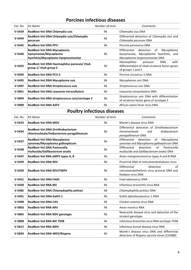## **Porcines infectious diseases**

<span id="page-5-0"></span>

| Cat. No.   | Kit Name                                                                                    | Number of tests | Comments                                                                                                                |
|------------|---------------------------------------------------------------------------------------------|-----------------|-------------------------------------------------------------------------------------------------------------------------|
| $V-5439$   | RealBest-Vet DNA Chlamydia suis                                                             | 96              | Chlamydia sius DNA                                                                                                      |
| $V-5444$   | RealBest-Vet DNA Chlamydia suis/Chlamydia<br>pecorum                                        | 96              | Differential detection of Chlamydia sius and<br>Chlamydia pecorum DNA                                                   |
| $V-5445$   | <b>RealBest-Vet DNA PPV</b>                                                                 | 96              | Porcine parvovirus DNA                                                                                                  |
| $V - 5446$ | RealBest-Vet DNA Mycoplasma<br>hyosynoviae/Mycoplasma<br>hyorhinis/Mycoplasma hyopneumoniae | 96              | Differential<br>detection<br>Mycoplasma<br>of<br>hyosynoviae, Mycoplasma hyorhinis, and<br>Mycoplasma hyopneumoniae DNA |
| $V-5455$   | RealBest-Vet DNA Haemophilus parasuis/VtaA<br>group 1/ VtaA group 2                         | 96              | Haemophilus<br><b>DNA</b><br>with<br>parasuis<br>differentiation of VtaA virulence factor genes<br>of groups 1 and 2    |
| $V-5493$   | <b>RealBest-Vet DNA PCV-2</b>                                                               | 96              | Porcine circovirus-2 DNA                                                                                                |
| $V-5495$   | RealBest-Vet DNA Mycoplasma suis                                                            | 96              | Mycoplasma suis DNA                                                                                                     |
| $V-5497$   | <b>RealBest-Vet DNA Streptococcus suis</b>                                                  | 96              | Streptococcus suis DNA                                                                                                  |
| $V-5801$   | RealBest-Vet DNA Lawsonia intracellularis                                                   | 96              | Lawsonia intracellularis DNA                                                                                            |
| $V-5804$   | RealBest-Vet DNA Streptococcus suis/serotype 2                                              | 96              | Streptococcus suis DNA with differentiation<br>of virulence factor gene of serotype 2                                   |
| $V-5809$   | <b>RealBest-Vet DNA ASFV</b>                                                                | 96              | African swine fever virus DNA                                                                                           |

# **Poultry infectious diseases**

<span id="page-5-1"></span>

| Cat. No. | Kit Name                                                                               | Number of tests | Comments                                                                                                  |
|----------|----------------------------------------------------------------------------------------|-----------------|-----------------------------------------------------------------------------------------------------------|
| $V-5433$ | <b>RealBest-Vet DNA MDV</b>                                                            | 96              | Marek's disease virus DNA                                                                                 |
| $V-5434$ | <b>RealBest-Vet DNA Ornithobacterium</b><br>rhinotracheale/Avibacterium paragallinarum | 96              | Differential detection of Ornithobacterium<br>rhinotracheale<br>and<br>Avibacterium<br>paragallinarum DNA |
| $V-5437$ | RealBest-Vet DNA Mycoplasma<br>synoviae/Mycoplasma gallisepticum                       | 96              | Differential<br>detection<br>of<br>Mycoplasma<br>synoviae and Mycoplasma gallisepticum DNA                |
| $V-5438$ | <b>RealBest-Vet DNA Pasteurella</b><br>multocida/Gallibacterium anatis                 | 96              | <b>Differential</b><br>detection<br>of<br>Pasteurella<br>multocida and Gallibacterium anatis DNA          |
| $V-5447$ | RealBest-Vet RNA aMPV types A, B                                                       | 96              | Avian metapneumovirus types A and B RNA                                                                   |
| $V-5449$ | <b>RealBest-Vet DNA REV</b>                                                            | 96              | Proviriral DNA of reticuloendotheliosis virus                                                             |
| $V-5450$ | <b>RealBest-Vet DNA REV/FWPV</b>                                                       | 96              | Differential<br>detection<br>of<br>reticuloendotheliosis virus proviral DNA and<br>fowlpox virus DNA      |
| $V-5451$ | <b>RealBest-Vet DNA FAdV</b>                                                           | 96              | Fowl adenovirus DNA                                                                                       |
| $V-5458$ | <b>RealBest-Vet RNA IBV</b>                                                            | 96              | Infectious bronchitis virus RNA                                                                           |
| $V-5485$ | RealBest-Vet DNA Chlamydophila psittaci                                                | 48              | Chlamydophila psittaci DNA                                                                                |
| $V-5491$ | <b>RealBest-Vet DNA GaHV-1</b>                                                         | 96              | Gallid alphaherpesvirus 1 DNA                                                                             |
| $V-5498$ | <b>RealBest-Vet DNA CAV</b>                                                            | 96              | Chicken anemia virus DNA                                                                                  |
| $V-5803$ | <b>RealBest-Vet RNA ARV</b>                                                            | 96              | Avian reovirus RNA                                                                                        |
| $V-5805$ | RealBest-Vet RNA NDV genotype                                                          | 96              | Newcastle disease virus and detection of the<br>virulent genotype                                         |
| $V-5808$ | <b>RealBest-Vet RNA IBV 793B</b>                                                       | 96              | Infectious bronchitis virus RNA serotype 793B                                                             |
| $V-5815$ | <b>RealBest-Vet RNA IBDV</b>                                                           | 96              | Infectious bursal disease virus RNA                                                                       |
| $V-5834$ | <b>RealBest-Vet DNA MDV/Rispens</b>                                                    | 96              | Marek's disease virus DNA and differential<br>detection of Rispens vaccine strain (CVI988)                |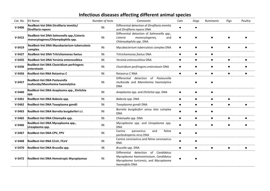## **Infectious diseases affecting different animal species**

<span id="page-6-0"></span>

| Cat. No. | <b>Kit Name</b>                                                               | Number of tests | Comments                                                                                                                                        | Cats      | Dogs      | Ruminants | Pigs      | Poultry   |
|----------|-------------------------------------------------------------------------------|-----------------|-------------------------------------------------------------------------------------------------------------------------------------------------|-----------|-----------|-----------|-----------|-----------|
| $V-5406$ | RealBest-Vet DNA Dirofilaria immitis/<br>Dirofilaria repens                   | 96              | Differential detection of Dirofilaria immitis<br>and Dirofilaria repens DNA                                                                     | $\bullet$ | $\bullet$ |           |           |           |
| $V-5415$ | RealBest-Vet DNA Salmonella spp./Listeria<br>monocytogenes/Chlamydophila spp. | 96              | Differential detection of Salmonella spp.,<br>Listeria<br>monocytogenes,<br>and<br>Chlamydophila spp. DNA                                       |           |           |           |           |           |
| $V-5419$ | RealBest-Vet DNA Mycobacterium tuberculosis<br>complex                        | 96              | Mycobacterium tuberculosis complex DNA                                                                                                          | $\bullet$ | $\bullet$ | $\bullet$ | $\bullet$ |           |
| $V-5427$ | <b>RealBest-Vet DNA Tritrichomonas foetus</b>                                 | 96              | Tritrichomonas foetus DNA                                                                                                                       | $\bullet$ | $\bullet$ | $\bullet$ |           |           |
| $V-5435$ | RealBest-Vet DNA Yersinia enterocolitica                                      | 96              | Yersinia enterocolitica DNA                                                                                                                     | $\bullet$ | $\bullet$ | $\bullet$ | $\bullet$ |           |
| $V-5436$ | <b>RealBest-Vet DNA Clostridium perfringens</b><br>enterotoxin                | 96              | Clostridium perfringens enterotoxin DNA                                                                                                         | $\bullet$ | $\bullet$ | $\bullet$ |           |           |
| $V-5456$ | <b>RealBest-Vet RNA Rotavirus C</b>                                           | 96              | Rotavirus C RNA                                                                                                                                 | $\bullet$ | $\bullet$ | $\bullet$ | $\bullet$ |           |
| $V-5457$ | RealBest-Vet DNA Pasteurella<br>multocida/Mannheima haemolytica               | 96              | detection of<br>Differential<br>Pasteurella<br>multocida and Mannheima haemolytica<br><b>DNA</b>                                                |           |           |           |           |           |
| $V-5460$ | RealBest-Vet DNA Anaplasma spp., Ehrlichia<br>spp.                            | 96              | Anaplasma spp. and Ehrlichia spp. DNA                                                                                                           | $\bullet$ | $\bullet$ | $\bullet$ |           |           |
| $V-5461$ | RealBest-Vet DNA Babesia spp.                                                 | 96              | Babesia spp. DNA                                                                                                                                | $\bullet$ | $\bullet$ | $\bullet$ | $\bullet$ |           |
| $V-5462$ | RealBest-Vet DNA Toxoplasma gondii                                            | 96              | Toxoplasma gondii DNA                                                                                                                           | $\bullet$ | $\bullet$ | $\bullet$ | $\bullet$ |           |
| $V-5463$ | RealBest-Vet DNA Borrelia burgdorferi s.l.                                    | 96              | Borrelia burgdorferi sensu lato complex<br><b>DNA</b>                                                                                           | $\bullet$ | $\bullet$ | $\bullet$ |           |           |
| $V-5465$ | RealBest-Vet DNA Chlamydia spp.                                               | 96              | Chlamydia spp. DNA                                                                                                                              | $\bullet$ | $\bullet$ | $\bullet$ | $\bullet$ | $\bullet$ |
| $V-5466$ | RealBest-Vet DNA Mycoplasma spp.,<br>Ureaplasma spp.                          | 96              | Mycoplasma spp. and Ureaplasma spp.<br><b>DNA</b>                                                                                               | $\bullet$ | $\bullet$ | $\bullet$ | $\bullet$ |           |
| $V-5467$ | RealBest-Vet DNA CPV, FPV                                                     | 96              | and<br>Canine<br>parvovirus<br>feline<br>panleukopenia virus DNA                                                                                | $\bullet$ | $\bullet$ |           |           |           |
| $V-5468$ | RealBest-Vet RNA CCoV, FCoV                                                   | 96              | Canine coronavirus and feline coronavirus<br><b>RNA</b>                                                                                         | $\bullet$ | $\bullet$ |           |           |           |
| $V-5470$ | RealBest-Vet DNA Brucella spp.                                                | 48              | Brucella spp. DNA                                                                                                                               | $\bullet$ | $\bullet$ | $\bullet$ | $\bullet$ |           |
| $V-5472$ | RealBest-Vet DNA Hemotropic Mycoplasmas                                       | 96              | Differential<br>detection<br>of<br>Candidatus<br>Mycoplasma haemominutum, Candidatus<br>Mycoplasma turicensis, and Mycoplasma<br>haemofelis DNA |           |           |           |           |           |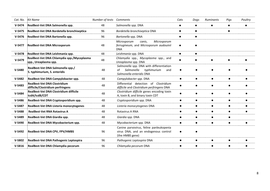| Cat. No. | <b>Kit Name</b>                                                          | Number of tests Comments |                                                                                                                | Cats      | Dogs      | Ruminants | Pigs      | Poultry   |
|----------|--------------------------------------------------------------------------|--------------------------|----------------------------------------------------------------------------------------------------------------|-----------|-----------|-----------|-----------|-----------|
| $V-5474$ | RealBest-Vet DNA Salmonella spp.                                         | 48                       | Salmonella spp. DNA                                                                                            |           | $\bullet$ | $\bullet$ | $\bullet$ |           |
| $V-5475$ | RealBest-Vet DNA Bordetella bronchiseptica                               | 96                       | Bordetella bronchiseptica DNA                                                                                  | $\bullet$ | $\bullet$ |           | $\bullet$ |           |
| $V-5476$ | RealBest-Vet DNA Bartonella spp.                                         | 96                       | Bartonella spp. DNA                                                                                            | $\bullet$ | $\bullet$ |           |           |           |
| $V-5477$ | <b>RealBest-Vet DNA Microsporum</b>                                      | 48                       | Microsporum<br>canis,<br>Microsporum<br>ferrugineum, and Microsporum audouinii<br><b>DNA</b>                   |           |           |           |           |           |
| $V-5478$ | RealBest-Vet DNA Leishmania spp.                                         | 48                       | Leishmania spp. DNA                                                                                            | $\bullet$ | $\bullet$ |           |           |           |
| $V-5479$ | RealBest-Vet DNA Chlamydia spp./Mycoplasma<br>spp., Ureaplasma spp.      | 48                       | Chlamydia spp., Mycoplasma spp., and<br>Ureaplasma spp. DNA                                                    |           |           |           |           |           |
| $V-5480$ | RealBest-Vet DNA Salmonella spp./<br>S. typhimurium, S. enteridis        | 48                       | Salmonella spp. DNA with differentiation<br>Salmonella<br>typhimurium<br>of<br>and<br>Salmonella enteridis DNA |           |           |           |           |           |
| $V-5482$ | RealBest-Vet DNA Campylobacter spp.                                      | 48                       | Campylobacter spp. DNA                                                                                         | ●         | $\bullet$ | $\bullet$ |           |           |
| $V-5483$ | <b>RealBest-Vet DNA Clostridium</b><br>difficile/Clostridium perfringens | 48                       | Differential detection of Clostridium<br>difficile and Clostridium perfringens DNA                             |           | $\bullet$ | $\bullet$ |           |           |
| $V-5484$ | RealBest-Vet DNA Clostridium difficile<br>tcdA/tcdB/CDT                  | 48                       | Clostridium difficile genes encoding toxin<br>A, toxin B, and binary toxin CDT                                 |           | $\bullet$ | $\bullet$ |           |           |
| $V-5486$ | RealBest-Vet DNA Cryptosporidium spp.                                    | 48                       | Cryptosporidium spp. DNA                                                                                       | $\bullet$ | $\bullet$ | $\bullet$ | $\bullet$ | $\bullet$ |
| $V-5487$ | RealBest-Vet DNA Listeria monocytogenes                                  | 48                       | Listeria monocytogenes DNA                                                                                     | $\bullet$ | $\bullet$ | $\bullet$ | $\bullet$ |           |
| $V-5488$ | <b>RealBest-Vet RNA Rotavirus A</b>                                      | 48                       | <b>Rotavirus A RNA</b>                                                                                         |           | $\bullet$ | ●         |           |           |
| $V-5489$ | RealBest-Vet DNA Giardia spp.                                            | 48                       | Giardia spp. DNA                                                                                               |           | $\bullet$ | $\bullet$ | $\bullet$ |           |
| $V-5490$ | RealBest-Vet DNA Mycobacterium spp.                                      | 48                       | Mycobacterium spp. DNA                                                                                         |           | $\bullet$ | $\bullet$ |           |           |
| $V-5492$ | RealBest-Vet DNA CPV, FPV/HMBS                                           | 96                       | Canine parvovirus, feline panleukopenia<br>virus DNA, and an endogenous control<br>(the HMBS gene)             |           |           |           |           |           |
| $V-5802$ | RealBest-Vet DNA Pathogenic Leptospira                                   | 96                       | Pathogenic Leptospira DNA                                                                                      |           | $\bullet$ | $\bullet$ |           |           |
| $V-5816$ | RealBest-Vet DNA Chlamydia pecorum                                       | 96                       | Chlamydia pecorum DNA                                                                                          |           |           |           |           |           |
|          |                                                                          |                          |                                                                                                                |           |           |           |           |           |